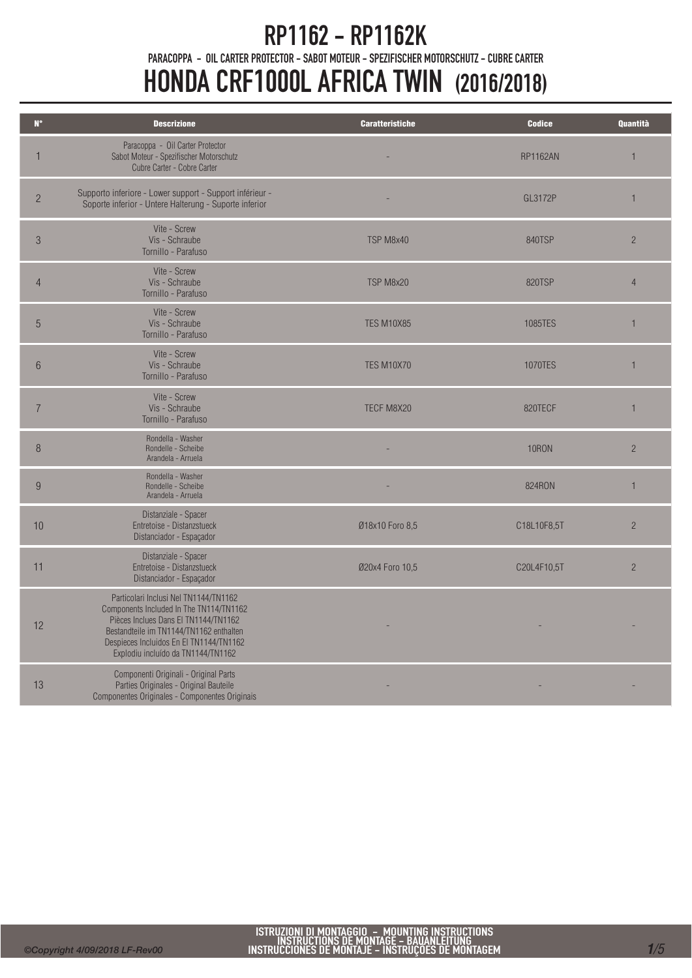## RP1162 - RP1162K

PARACOPPA - OIL CARTER PROTECTOR - SABOT MOTEUR - SPEZIFISCHER MOTORSCHUTZ - CUBRE CARTER

# HONDA CRF1000L AFRICA TWIN (2016/2018)

| $N^{\circ}$     | <b>Descrizione</b>                                                                                                                                                                                                                                   | <b>Caratteristiche</b> | <b>Codice</b>   | Quantità       |
|-----------------|------------------------------------------------------------------------------------------------------------------------------------------------------------------------------------------------------------------------------------------------------|------------------------|-----------------|----------------|
| $\mathbf{1}$    | Paracoppa - Oil Carter Protector<br>Sabot Moteur - Spezifischer Motorschutz<br>Cubre Carter - Cobre Carter                                                                                                                                           |                        | <b>RP1162AN</b> | $\mathbf{1}$   |
| $\overline{2}$  | Supporto inferiore - Lower support - Support inférieur -<br>Soporte inferior - Untere Halterung - Suporte inferior                                                                                                                                   |                        | GL3172P         | $\mathbf{1}$   |
| $\mathcal{S}$   | Vite - Screw<br>Vis - Schraube<br>Tornillo - Parafuso                                                                                                                                                                                                | TSP M8x40              | <b>840TSP</b>   | $\overline{2}$ |
| $\overline{4}$  | Vite - Screw<br>Vis - Schraube<br>Tornillo - Parafuso                                                                                                                                                                                                | TSP M8x20              | <b>820TSP</b>   | $\overline{4}$ |
| $\overline{5}$  | Vite - Screw<br>Vis - Schraube<br>Tornillo - Parafuso                                                                                                                                                                                                | <b>TES M10X85</b>      | 1085TES         | $\mathbf{1}$   |
| $6\phantom{.}6$ | Vite - Screw<br>Vis - Schraube<br>Tornillo - Parafuso                                                                                                                                                                                                | <b>TES M10X70</b>      | 1070TES         | $\mathbf{1}$   |
| $\overline{7}$  | Vite - Screw<br>Vis - Schraube<br>Tornillo - Parafuso                                                                                                                                                                                                | TECF M8X20             | 820TECF         | 1              |
| 8               | Rondella - Washer<br>Rondelle - Scheibe<br>Arandela - Arruela                                                                                                                                                                                        |                        | <b>10RON</b>    | $\overline{2}$ |
| 9               | Rondella - Washer<br>Rondelle - Scheibe<br>Arandela - Arruela                                                                                                                                                                                        |                        | 824RON          | $\mathbf{1}$   |
| 10              | Distanziale - Spacer<br>Entretoise - Distanzstueck<br>Distanciador - Espaçador                                                                                                                                                                       | Ø18x10 Foro 8,5        | C18L10F8,5T     | $\overline{2}$ |
| 11              | Distanziale - Spacer<br>Entretoise - Distanzstueck<br>Distanciador - Espaçador                                                                                                                                                                       | Ø20x4 Foro 10,5        | C20L4F10,5T     | $\overline{2}$ |
| 12              | Particolari Inclusi Nel TN1144/TN1162<br>Components Included In The TN114/TN1162<br>Pièces Inclues Dans El TN1144/TN1162<br>Bestandteile im TN1144/TN1162 enthalten<br>Despieces Incluidos En El TN1144/TN1162<br>Explodiu incluído da TN1144/TN1162 |                        |                 |                |
| 13              | Componenti Originali - Original Parts<br>Parties Originales - Original Bauteile<br>Componentes Originales - Componentes Originais                                                                                                                    |                        |                 |                |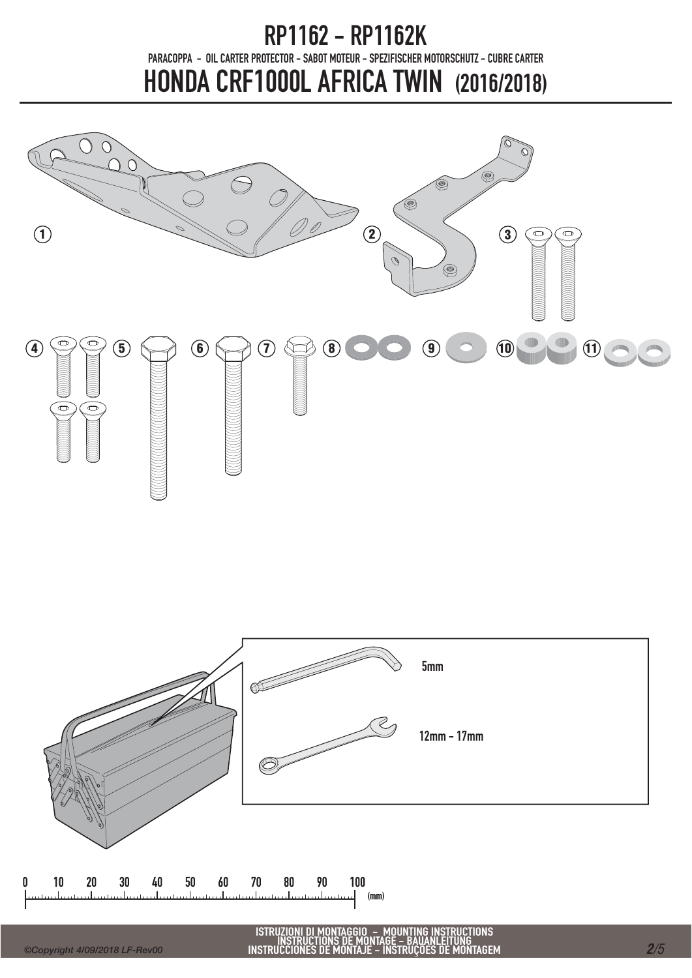

 $(mm)$ 

 $\mathbf{u}$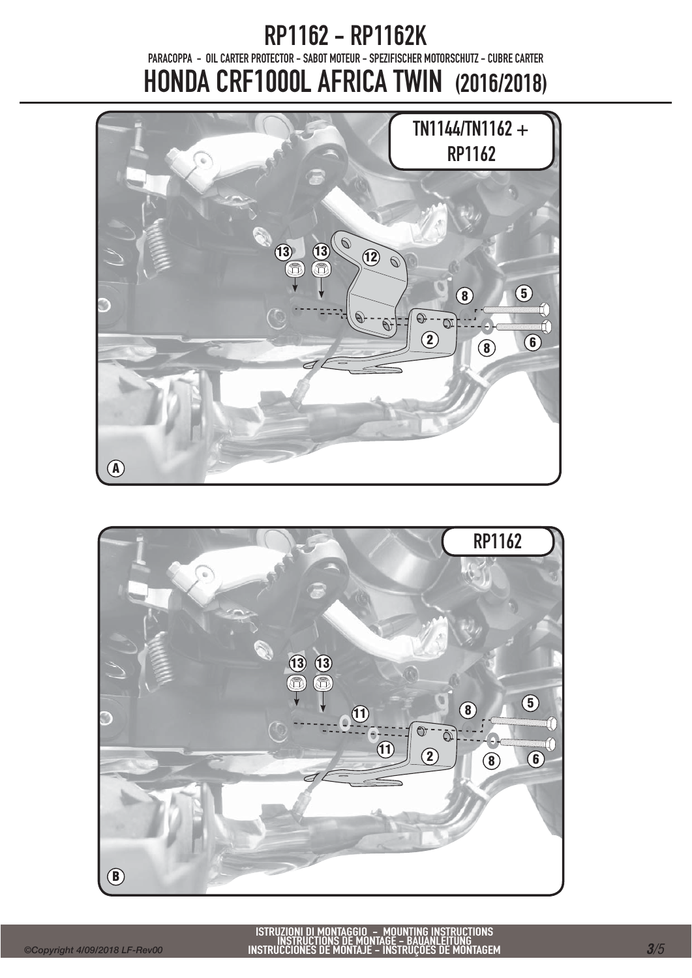

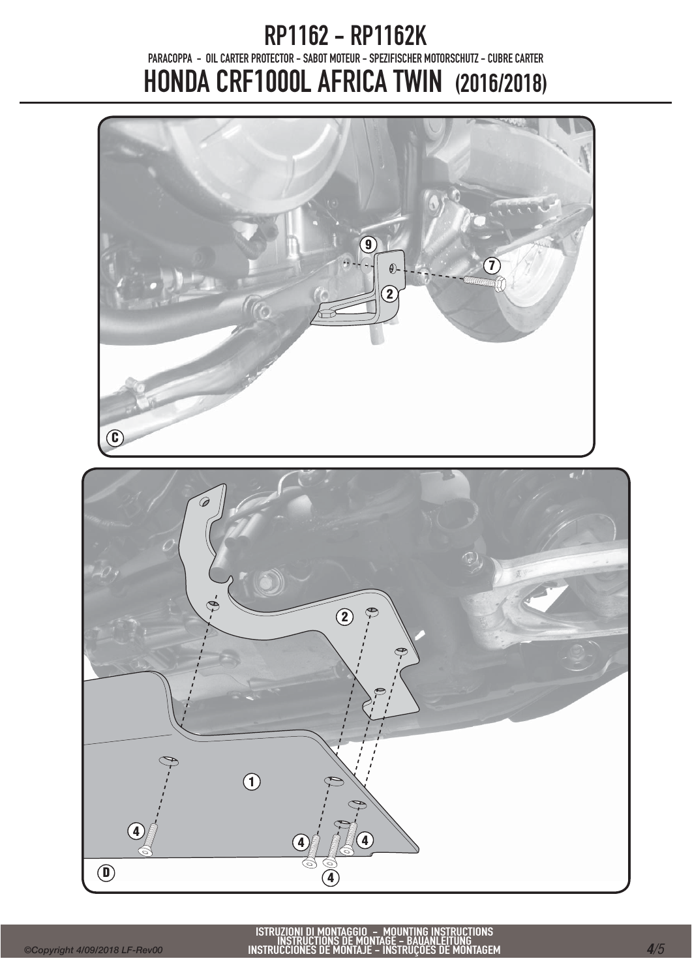